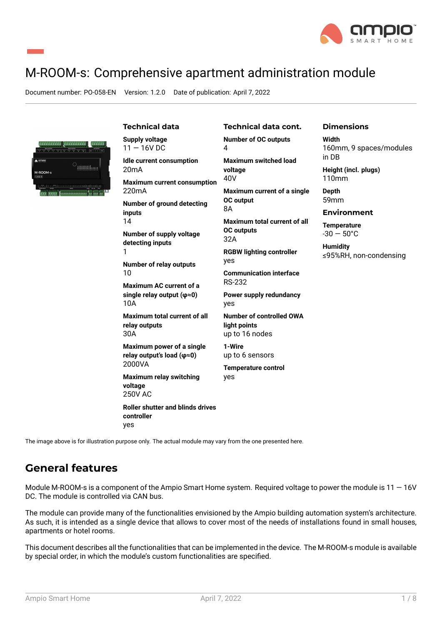

# M-ROOM-s: Comprehensive apartment administration module

4

Document number: PO-058-EN Version: 1.2.0 Date of publication: April 7, 2022



| Technical data |  |  |
|----------------|--|--|
|                |  |  |

**Supply voltage**  $11 - 16V$  DC

**Idle current consumption** 20mA

**Maximum current consumption** 220mA

**Number of ground detecting inputs**

14 **Number of supply voltage detecting inputs** 1

**Number of relay outputs** 10

**Maximum AC current of a single relay output (φ≈0)** 10A

**Maximum total current of all relay outputs** 30A

**Maximum power of a single relay output's load (φ≈0)** 2000VA

**Maximum relay switching voltage** 250V AC

**Roller shutter and blinds drives controller** yes

**Maximum switched load voltage** 40V **Maximum current of a single OC output** 8A **Maximum total current of all OC outputs** 32A **RGBW lighting controller**

**Technical data cont. Number of OC outputs**

yes **Communication interface**

RS-232 **Power supply redundancy** yes

**Number of controlled OWA light points** up to 16 nodes

**1-Wire** up to 6 sensors

**Temperature control** yes

**Dimensions**

**Width** 160mm, 9 spaces/modules in DB

**Height (incl. plugs)** 110mm

**Depth** 59mm

**Environment**

**Temperature**  $-30 - 50^{\circ}$ C

**Humidity** ≤95%RH, non-condensing

The image above is for illustration purpose only. The actual module may vary from the one presented here.

### **General features**

Module M-ROOM-s is a component of the Ampio Smart Home system. Required voltage to power the module is  $11 - 16V$ DC. The module is controlled via CAN bus.

The module can provide many of the functionalities envisioned by the Ampio building automation system's architecture. As such, it is intended as a single device that allows to cover most of the needs of installations found in small houses, apartments or hotel rooms.

This document describes all the functionalities that can be implemented in the device. The M-ROOM-s module is available by special order, in which the module's custom functionalities are specified.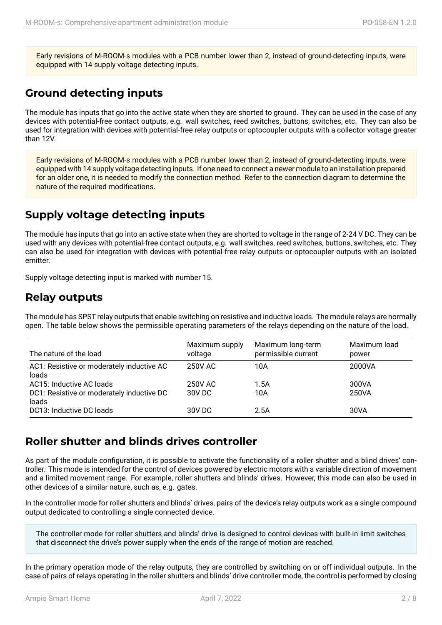Early revisions of M-ROOM-s modules with a PCB number lower than 2, instead of ground-detecting inputs, were equipped with 14 supply voltage detecting inputs.

#### **Ground detecting inputs**

The module has inputs that go into the active state when they are shorted to ground. They can be used in the case of any devices with potential-free contact outputs, e.g. wall switches, reed switches, buttons, switches, etc. They can also be used for integration with devices with potential-free relay outputs or optocoupler outputs with a collector voltage greater than 12V.

Early revisions of M-ROOM-s modules with a PCB number lower than 2, instead of ground-detecting inputs, were equipped with 14 supply voltage detecting inputs. If one need to connect a newer module to an installation prepared for an older one, it is needed to modify the connection method. Refer to the connection diagram to determine the nature of the required modifications.

### **Supply voltage detecting inputs**

The module has inputs that go into an active state when they are shorted to voltage in the range of 2-24 V DC. They can be used with any devices with potential-free contact outputs, e.g. wall switches, reed switches, buttons, switches, etc. They can also be used for integration with devices with potential-free relay outputs or optocoupler outputs with an isolated emitter.

Supply voltage detecting input is marked with number 15.

#### **Relay outputs**

The module has SPST relay outputs that enable switching on resistive and inductive loads. The module relays are normally open. The table below shows the permissible operating parameters of the relays depending on the nature of the load.

| The nature of the load                             | Maximum supply<br>voltage | Maximum long-term<br>permissible current | Maximum load<br>power |
|----------------------------------------------------|---------------------------|------------------------------------------|-----------------------|
| AC1: Resistive or moderately inductive AC<br>loads | 250V AC                   | 10A                                      | 2000VA                |
| AC15: Inductive AC loads                           | 250V AC                   | 1.5A                                     | 300VA                 |
| DC1: Resistive or moderately inductive DC<br>loads | 30V DC                    | 10A                                      | 250VA                 |
| DC13: Inductive DC loads                           | 30V DC                    | 2.5A                                     | 30VA                  |

#### **Roller shutter and blinds drives controller**

As part of the module configuration, it is possible to activate the functionality of a roller shutter and a blind drives' controller. This mode is intended for the control of devices powered by electric motors with a variable direction of movement and a limited movement range. For example, roller shutters and blinds' drives. However, this mode can also be used in other devices of a similar nature, such as, e.g. gates.

In the controller mode for roller shutters and blinds' drives, pairs of the device's relay outputs work as a single compound output dedicated to controlling a single connected device.

The controller mode for roller shutters and blinds' drive is designed to control devices with built-in limit switches that disconnect the drive's power supply when the ends of the range of motion are reached.

In the primary operation mode of the relay outputs, they are controlled by switching on or off individual outputs. In the case of pairs of relays operating in the roller shutters and blinds' drive controller mode, the control is performed by closing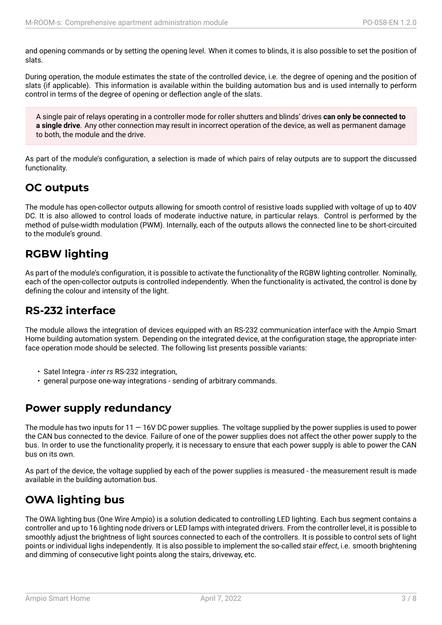and opening commands or by setting the opening level. When it comes to blinds, it is also possible to set the position of slats.

During operation, the module estimates the state of the controlled device, i.e. the degree of opening and the position of slats (if applicable). This information is available within the building automation bus and is used internally to perform control in terms of the degree of opening or deflection angle of the slats.

A single pair of relays operating in a controller mode for roller shutters and blinds' drives **can only be connected to a single drive**. Any other connection may result in incorrect operation of the device, as well as permanent damage to both, the module and the drive.

As part of the module's configuration, a selection is made of which pairs of relay outputs are to support the discussed functionality.

#### **OC outputs**

The module has open-collector outputs allowing for smooth control of resistive loads supplied with voltage of up to 40V DC. It is also allowed to control loads of moderate inductive nature, in particular relays. Control is performed by the method of pulse-width modulation (PWM). Internally, each of the outputs allows the connected line to be short-circuited to the module's ground.

### **RGBW lighting**

As part of the module's configuration, it is possible to activate the functionality of the RGBW lighting controller. Nominally, each of the open-collector outputs is controlled independently. When the functionality is activated, the control is done by defining the colour and intensity of the light.

#### **RS-232 interface**

The module allows the integration of devices equipped with an RS-232 communication interface with the Ampio Smart Home building automation system. Depending on the integrated device, at the configuration stage, the appropriate interface operation mode should be selected. The following list presents possible variants:

- Satel Integra *inter rs* RS-232 integration,
- general purpose one-way integrations sending of arbitrary commands.

#### **Power supply redundancy**

The module has two inputs for  $11 - 16V$  DC power supplies. The voltage supplied by the power supplies is used to power the CAN bus connected to the device. Failure of one of the power supplies does not affect the other power supply to the bus. In order to use the functionality properly, it is necessary to ensure that each power supply is able to power the CAN bus on its own.

As part of the device, the voltage supplied by each of the power supplies is measured - the measurement result is made available in the building automation bus.

### **OWA lighting bus**

The OWA lighting bus (One Wire Ampio) is a solution dedicated to controlling LED lighting. Each bus segment contains a controller and up to 16 lighting node drivers or LED lamps with integrated drivers. From the controller level, it is possible to smoothly adjust the brightness of light sources connected to each of the controllers. It is possible to control sets of light points or individual lighs independently. It is also possible to implement the so-called *stair effect*, i.e. smooth brightening and dimming of consecutive light points along the stairs, driveway, etc.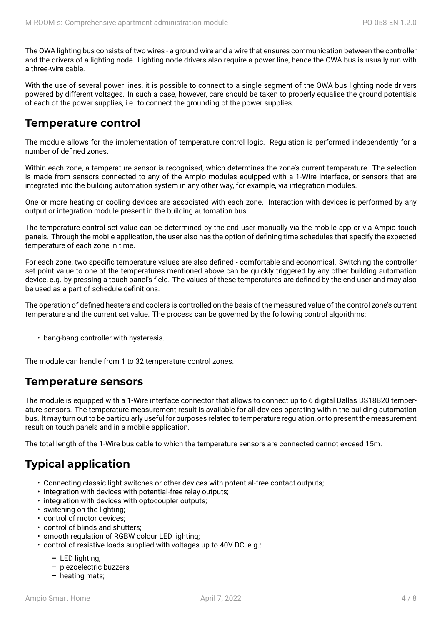The OWA lighting bus consists of two wires - a ground wire and a wire that ensures communication between the controller and the drivers of a lighting node. Lighting node drivers also require a power line, hence the OWA bus is usually run with a three-wire cable.

With the use of several power lines, it is possible to connect to a single segment of the OWA bus lighting node drivers powered by different voltages. In such a case, however, care should be taken to properly equalise the ground potentials of each of the power supplies, i.e. to connect the grounding of the power supplies.

#### **Temperature control**

The module allows for the implementation of temperature control logic. Regulation is performed independently for a number of defined zones.

Within each zone, a temperature sensor is recognised, which determines the zone's current temperature. The selection is made from sensors connected to any of the Ampio modules equipped with a 1-Wire interface, or sensors that are integrated into the building automation system in any other way, for example, via integration modules.

One or more heating or cooling devices are associated with each zone. Interaction with devices is performed by any output or integration module present in the building automation bus.

The temperature control set value can be determined by the end user manually via the mobile app or via Ampio touch panels. Through the mobile application, the user also has the option of defining time schedules that specify the expected temperature of each zone in time.

For each zone, two specific temperature values are also defined - comfortable and economical. Switching the controller set point value to one of the temperatures mentioned above can be quickly triggered by any other building automation device, e.g. by pressing a touch panel's field. The values of these temperatures are defined by the end user and may also be used as a part of schedule definitions.

The operation of defined heaters and coolers is controlled on the basis of the measured value of the control zone's current temperature and the current set value. The process can be governed by the following control algorithms:

• bang-bang controller with hysteresis.

The module can handle from 1 to 32 temperature control zones.

#### **Temperature sensors**

The module is equipped with a 1-Wire interface connector that allows to connect up to 6 digital Dallas DS18B20 temperature sensors. The temperature measurement result is available for all devices operating within the building automation bus. It may turn out to be particularly useful for purposes related to temperature regulation, or to present the measurement result on touch panels and in a mobile application.

The total length of the 1-Wire bus cable to which the temperature sensors are connected cannot exceed 15m.

### **Typical application**

- Connecting classic light switches or other devices with potential-free contact outputs;
- integration with devices with potential-free relay outputs;
- integration with devices with optocoupler outputs;
- switching on the lighting;
- control of motor devices;
- control of blinds and shutters;
- smooth regulation of RGBW colour LED lighting;
- control of resistive loads supplied with voltages up to 40V DC, e.g.:
	- **–** LED lighting,
	- **–** piezoelectric buzzers,
	- **–** heating mats;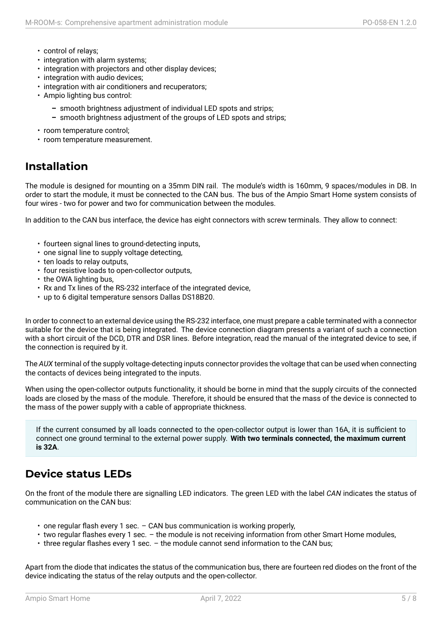- control of relays;
- integration with alarm systems;
- integration with projectors and other display devices;
- integration with audio devices;
- integration with air conditioners and recuperators;
- Ampio lighting bus control:
	- **–** smooth brightness adjustment of individual LED spots and strips;
	- **–** smooth brightness adjustment of the groups of LED spots and strips;
- room temperature control;
- room temperature measurement.

#### **Installation**

The module is designed for mounting on a 35mm DIN rail. The module's width is 160mm, 9 spaces/modules in DB. In order to start the module, it must be connected to the CAN bus. The bus of the Ampio Smart Home system consists of four wires - two for power and two for communication between the modules.

In addition to the CAN bus interface, the device has eight connectors with screw terminals. They allow to connect:

- fourteen signal lines to ground-detecting inputs,
- one signal line to supply voltage detecting,
- ten loads to relay outputs,
- four resistive loads to open-collector outputs,
- the OWA lighting bus.
- Rx and Tx lines of the RS-232 interface of the integrated device,
- up to 6 digital temperature sensors Dallas DS18B20.

In order to connect to an external device using the RS-232 interface, one must prepare a cable terminated with a connector suitable for the device that is being integrated. The device connection diagram presents a variant of such a connection with a short circuit of the DCD, DTR and DSR lines. Before integration, read the manual of the integrated device to see, if the connection is required by it.

The *AUX* terminal of the supply voltage-detecting inputs connector provides the voltage that can be used when connecting the contacts of devices being integrated to the inputs.

When using the open-collector outputs functionality, it should be borne in mind that the supply circuits of the connected loads are closed by the mass of the module. Therefore, it should be ensured that the mass of the device is connected to the mass of the power supply with a cable of appropriate thickness.

If the current consumed by all loads connected to the open-collector output is lower than 16A, it is sufficient to connect one ground terminal to the external power supply. **With two terminals connected, the maximum current is 32A**.

#### **Device status LEDs**

On the front of the module there are signalling LED indicators. The green LED with the label *CAN* indicates the status of communication on the CAN bus:

- one regular flash every 1 sec. CAN bus communication is working properly,
- two regular flashes every 1 sec. the module is not receiving information from other Smart Home modules,
- three regular flashes every 1 sec. the module cannot send information to the CAN bus;

Apart from the diode that indicates the status of the communication bus, there are fourteen red diodes on the front of the device indicating the status of the relay outputs and the open-collector.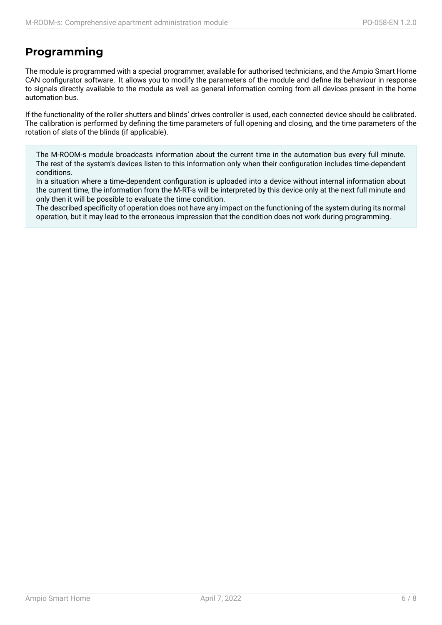## **Programming**

The module is programmed with a special programmer, available for authorised technicians, and the Ampio Smart Home CAN configurator software. It allows you to modify the parameters of the module and define its behaviour in response to signals directly available to the module as well as general information coming from all devices present in the home automation bus.

If the functionality of the roller shutters and blinds' drives controller is used, each connected device should be calibrated. The calibration is performed by defining the time parameters of full opening and closing, and the time parameters of the rotation of slats of the blinds (if applicable).

The M-ROOM-s module broadcasts information about the current time in the automation bus every full minute. The rest of the system's devices listen to this information only when their configuration includes time-dependent conditions.

In a situation where a time-dependent configuration is uploaded into a device without internal information about the current time, the information from the M-RT-s will be interpreted by this device only at the next full minute and only then it will be possible to evaluate the time condition.

The described specificity of operation does not have any impact on the functioning of the system during its normal operation, but it may lead to the erroneous impression that the condition does not work during programming.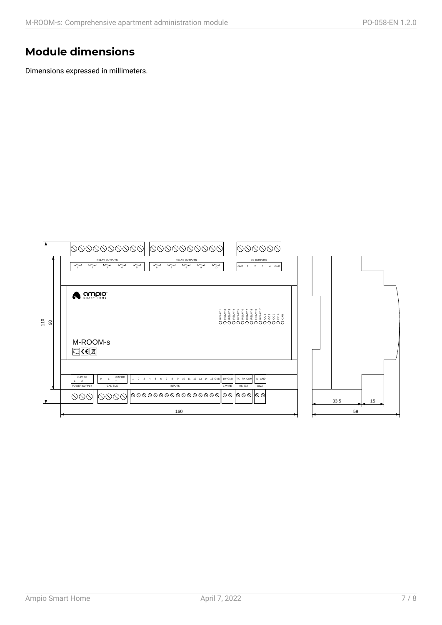# **Module dimensions**

Dimensions expressed in millimeters.